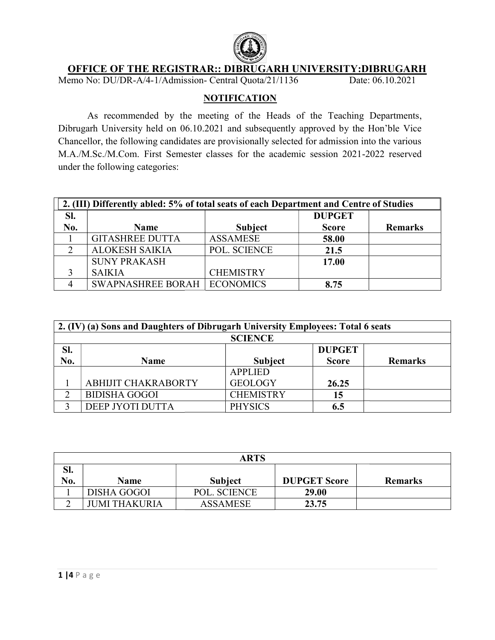

## OFFICE OF THE REGISTRAR:: DIBRUGARH UNIVERSITY:DIBRUGARH

Memo No: DU/DR-A/4-1/Admission- Central Quota/21/1136 Date: 06.10.2021

# **NOTIFICATION**

As recommended by the meeting of the Heads of the Teaching Departments Departments, Dibrugarh University held on 06.10.2021 and subsequently approved by the Hon'ble Vice Chancellor, the following candidates are provisionally selected for admission into the various M.A./M.Sc./M.Com. First Semester classes for the academic session 2021 2022 under the following categories: As recommended by the meeting of the Heads of the Teaching Departments,<br>Dibrugarh University held on 06.10.2021 and subsequently approved by the Hon'ble Vice<br>Chancellor, the following candidates are provisionally selected

| 2. (III) Differently abled: 5% of total seats of each Department and Centre of Studies |                                      |                  |               |                |  |
|----------------------------------------------------------------------------------------|--------------------------------------|------------------|---------------|----------------|--|
| SI.                                                                                    |                                      |                  | <b>DUPGET</b> |                |  |
| No.                                                                                    | <b>Name</b>                          | <b>Subject</b>   | <b>Score</b>  | <b>Remarks</b> |  |
|                                                                                        | <b>GITASHREE DUTTA</b>               | <b>ASSAMESE</b>  | 58.00         |                |  |
|                                                                                        | <b>ALOKESH SAIKIA</b>                | POL. SCIENCE     | 21.5          |                |  |
|                                                                                        | <b>SUNY PRAKASH</b>                  |                  | 17.00         |                |  |
|                                                                                        | <b>SAIKIA</b>                        | <b>CHEMISTRY</b> |               |                |  |
|                                                                                        | <b>SWAPNASHREE BORAH   ECONOMICS</b> |                  | 8.75          |                |  |

|     | 2. (IV) (a) Sons and Daughters of Dibrugarh University Employees: Total 6 seats |                  |               |                |  |  |
|-----|---------------------------------------------------------------------------------|------------------|---------------|----------------|--|--|
|     |                                                                                 | <b>SCIENCE</b>   |               |                |  |  |
| SI. |                                                                                 |                  | <b>DUPGET</b> |                |  |  |
| No. | <b>Name</b>                                                                     | <b>Subject</b>   | <b>Score</b>  | <b>Remarks</b> |  |  |
|     |                                                                                 | <b>APPLIED</b>   |               |                |  |  |
|     | ABHIJIT CHAKRABORTY                                                             | <b>GEOLOGY</b>   | 26.25         |                |  |  |
|     | <b>BIDISHA GOGOI</b>                                                            | <b>CHEMISTRY</b> | 15            |                |  |  |
|     | DEEP JYOTI DUTTA                                                                | <b>PHYSICS</b>   | 6.5           |                |  |  |

| ARTS |                      |                 |                     |                |  |
|------|----------------------|-----------------|---------------------|----------------|--|
| Sl.  |                      |                 |                     |                |  |
| No.  | <b>Name</b>          | <b>Subject</b>  | <b>DUPGET Score</b> | <b>Remarks</b> |  |
|      | DISHA GOGOI          | POL. SCIENCE    | 29.00               |                |  |
|      | <b>JUMI THAKURIA</b> | <b>ASSAMESE</b> | 23.75               |                |  |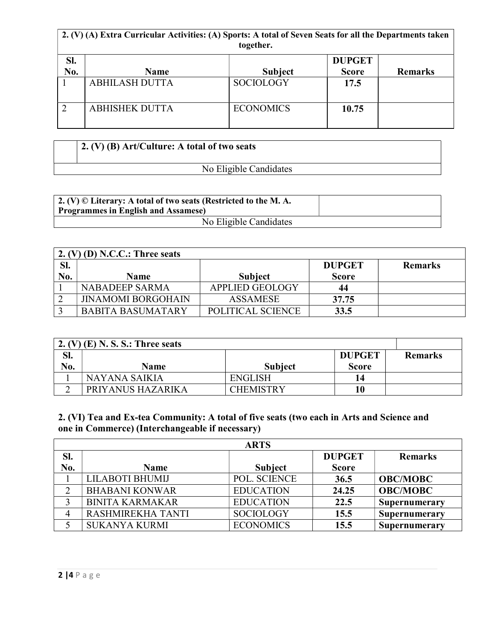|            | 2. (V) (A) Extra Curricular Activities: (A) Sports: A total of Seven Seats for all the Departments taken<br>together. |                  |                               |                |  |
|------------|-----------------------------------------------------------------------------------------------------------------------|------------------|-------------------------------|----------------|--|
| Sl.<br>No. | <b>Name</b>                                                                                                           | <b>Subject</b>   | <b>DUPGET</b><br><b>Score</b> | <b>Remarks</b> |  |
|            | <b>ABHILASH DUTTA</b>                                                                                                 | <b>SOCIOLOGY</b> | 17.5                          |                |  |
| 2          | <b>ABHISHEK DUTTA</b>                                                                                                 | <b>ECONOMICS</b> | 10.75                         |                |  |

| $\vert$ 2. (V) (B) Art/Culture: A total of two seats |  |  |  |
|------------------------------------------------------|--|--|--|
| No Eligible Candidates                               |  |  |  |

| $\perp$ 2. (V) © Literary: A total of two seats (Restricted to the M. A.<br><b>Programmes in English and Assamese)</b> |  |
|------------------------------------------------------------------------------------------------------------------------|--|
| No Eligible Candidates                                                                                                 |  |

|     | 2. $(V)$ (D) N.C.C.: Three seats |                        |               |                |
|-----|----------------------------------|------------------------|---------------|----------------|
| SI. |                                  |                        | <b>DUPGET</b> | <b>Remarks</b> |
| No. | <b>Name</b>                      | <b>Subject</b>         | <b>Score</b>  |                |
|     | <b>NABADEEP SARMA</b>            | <b>APPLIED GEOLOGY</b> | 44            |                |
|     | <b>JINAMOMI BORGOHAIN</b>        | <b>ASSAMESE</b>        | 37.75         |                |
|     | <b>BABITA BASUMATARY</b>         | POLITICAL SCIENCE      | 33.5          |                |

|     | 2. (V) $(E)$ N. S. S.: Three seats |                  |               |                |
|-----|------------------------------------|------------------|---------------|----------------|
| Sl. |                                    |                  | <b>DUPGET</b> | <b>Remarks</b> |
| No. | <b>Name</b>                        | <b>Subject</b>   | <b>Score</b>  |                |
|     | NAYANA SAIKIA                      | <b>ENGLISH</b>   | 14            |                |
|     | PRIYANUS HAZARIKA                  | <b>CHEMISTRY</b> | 10            |                |

2. (VI) Tea and Ex-tea Community: A total of five seats (two each in Arts and Science and one in Commerce) (Interchangeable if necessary)

|     | <b>ARTS</b>            |                  |               |                 |  |  |
|-----|------------------------|------------------|---------------|-----------------|--|--|
| Sl. |                        |                  | <b>DUPGET</b> | <b>Remarks</b>  |  |  |
| No. | <b>Name</b>            | <b>Subject</b>   | <b>Score</b>  |                 |  |  |
|     | LILABOTI BHUMIJ        | POL. SCIENCE     | 36.5          | <b>OBC/MOBC</b> |  |  |
|     | <b>BHABANI KONWAR</b>  | <b>EDUCATION</b> | 24.25         | <b>OBC/MOBC</b> |  |  |
|     | <b>BINITA KARMAKAR</b> | <b>EDUCATION</b> | 22.5          | Supernumerary   |  |  |
|     | RASHMIREKHA TANTI      | <b>SOCIOLOGY</b> | 15.5          | Supernumerary   |  |  |
|     | <b>SUKANYA KURMI</b>   | <b>ECONOMICS</b> | 15.5          | Supernumerary   |  |  |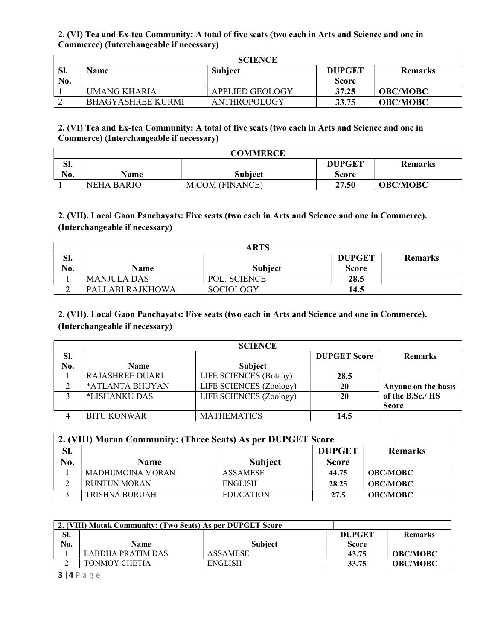#### 2. (VI) Tea and Ex-tea Community: A total of five seats (two each in Arts and Science and one in Commerce) (Interchangeable if necessary)

| <b>SCIENCE</b> |                          |                 |               |                 |
|----------------|--------------------------|-----------------|---------------|-----------------|
| SI.            | <b>Name</b>              | <b>Subject</b>  | <b>DUPGET</b> | <b>Remarks</b>  |
| <b>No.</b>     |                          |                 | <b>Score</b>  |                 |
|                | UMANG KHARIA             | APPLIED GEOLOGY | 37.25         | <b>OBC/MOBC</b> |
|                | <b>BHAGYASHREE KURMI</b> | ANTHROPOLOGY    | 33.75         | <b>OBC/MOBC</b> |

#### 2. (VI) Tea and Ex-tea Community: A total of five seats (two each in Arts and Science and one in Commerce) (Interchangeable if necessary)

| <b>COMMERCE</b> |             |                 |               |                 |  |
|-----------------|-------------|-----------------|---------------|-----------------|--|
| C1<br>ы.        |             |                 | <b>DUPGET</b> | <b>Remarks</b>  |  |
| No.             | <b>Name</b> | Subiect         | Score         |                 |  |
|                 | NEHA BARJO  | M.COM (FINANCE) | 27.50         | <b>OBC/MOBC</b> |  |

## 2. (VII). Local Gaon Panchayats: Five seats (two each in Arts and Science and one in Commerce). (Interchangeable if necessary)

|     | ARTS             |                  |               |                |  |  |
|-----|------------------|------------------|---------------|----------------|--|--|
| SI. |                  |                  | <b>DUPGET</b> | <b>Remarks</b> |  |  |
| No. | Name             | <b>Subject</b>   | <b>Score</b>  |                |  |  |
|     | MANJULA DAS      | POL. SCIENCE     | 28.5          |                |  |  |
|     | PALLABI RAJKHOWA | <b>SOCIOLOGY</b> | 14.5          |                |  |  |

### 2. (VII). Local Gaon Panchayats: Five seats (two each in Arts and Science and one in Commerce). (Interchangeable if necessary)

| <b>SCIENCE</b> |                    |                         |                     |                     |  |  |  |
|----------------|--------------------|-------------------------|---------------------|---------------------|--|--|--|
| Sl.            |                    |                         | <b>DUPGET Score</b> | <b>Remarks</b>      |  |  |  |
| No.            | <b>Name</b>        | <b>Subject</b>          |                     |                     |  |  |  |
|                | RAJASHREE DUARI    | LIFE SCIENCES (Botany)  | 28.5                |                     |  |  |  |
|                | *ATLANTA BHUYAN    | LIFE SCIENCES (Zoology) | 20                  | Anyone on the basis |  |  |  |
|                | *LISHANKU DAS      | LIFE SCIENCES (Zoology) | 20                  | of the B.Sc./HS     |  |  |  |
|                |                    |                         |                     | <b>Score</b>        |  |  |  |
|                | <b>BITU KONWAR</b> | <b>MATHEMATICS</b>      | 14.5                |                     |  |  |  |

| 2. (VIII) Moran Community: (Three Seats) As per DUPGET Score |                         |                  |               |                 |  |  |  |  |
|--------------------------------------------------------------|-------------------------|------------------|---------------|-----------------|--|--|--|--|
| Sl.                                                          |                         |                  | <b>DUPGET</b> | <b>Remarks</b>  |  |  |  |  |
| No.                                                          | <b>Name</b>             | <b>Subject</b>   | <b>Score</b>  |                 |  |  |  |  |
|                                                              | <b>MADHUMOINA MORAN</b> | <b>ASSAMESE</b>  | 44.75         | <b>OBC/MOBC</b> |  |  |  |  |
|                                                              | <b>RUNTUN MORAN</b>     | <b>ENGLISH</b>   | 28.25         | <b>OBC/MOBC</b> |  |  |  |  |
|                                                              | <b>TRISHNA BORUAH</b>   | <b>EDUCATION</b> | 27.5          | <b>OBC/MOBC</b> |  |  |  |  |

|     | 2. (VIII) Matak Community: (Two Seats) As per DUPGET Score |                 |               |                 |
|-----|------------------------------------------------------------|-----------------|---------------|-----------------|
| Sl. |                                                            |                 | <b>DUPGET</b> | <b>Remarks</b>  |
| No. | Name                                                       | <b>Subject</b>  | <b>Score</b>  |                 |
|     | LABDHA PRATIM DAS                                          | <b>ASSAMESE</b> | 43.75         | <b>OBC/MOBC</b> |
|     | TONMOY CHETIA                                              | <b>ENGLISH</b>  | 33.75         | <b>OBC/MOBC</b> |

3 |4 P a g e